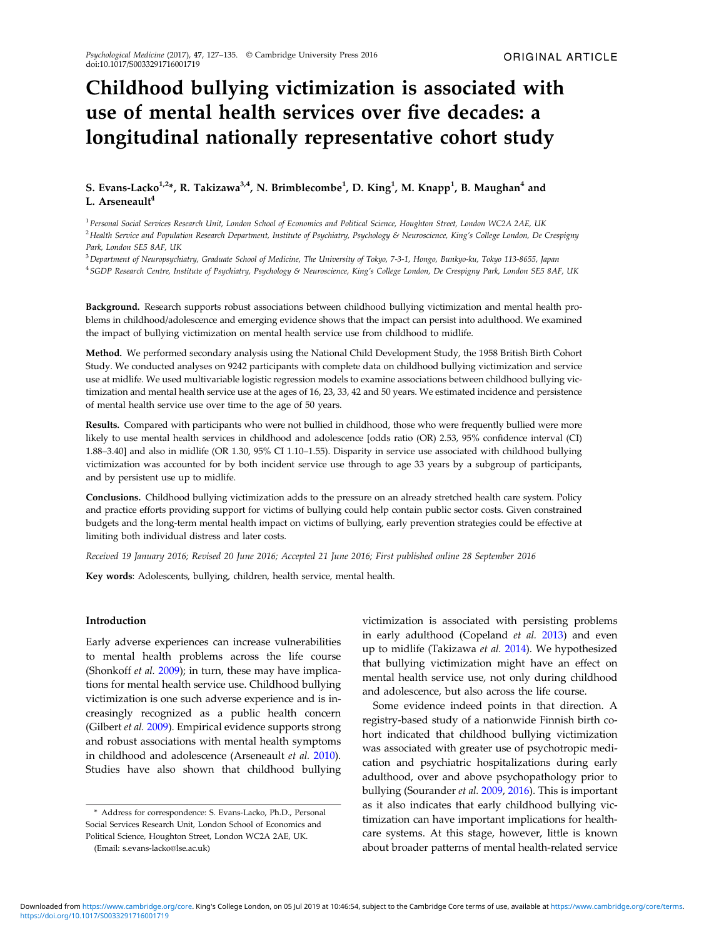# Childhood bullying victimization is associated with use of mental health services over five decades: a longitudinal nationally representative cohort study

# S. Evans-Lacko $^{1,2*}$ , R. Takizawa $^{3,4}$ , N. Brimblecombe $^1$ , D. King $^1$ , M. Knapp $^1$ , B. Maughan $^4$  and L. Arseneault<sup>4</sup>

<sup>1</sup>Personal Social Services Research Unit, London School of Economics and Political Science, Houghton Street, London WC2A 2AE, UK <sup>2</sup> Health Service and Population Research Department, Institute of Psychiatry, Psychology & Neuroscience, King's College London, De Crespigny Park, London SE5 8AF, UK

<sup>3</sup>Department of Neuropsychiatry, Graduate School of Medicine, The University of Tokyo, 7-3-1, Hongo, Bunkyo-ku, Tokyo 113-8655, Japan <sup>4</sup>SGDP Research Centre, Institute of Psychiatry, Psychology & Neuroscience, King's College London, De Crespigny Park, London SE5 8AF, UK

Background. Research supports robust associations between childhood bullying victimization and mental health problems in childhood/adolescence and emerging evidence shows that the impact can persist into adulthood. We examined the impact of bullying victimization on mental health service use from childhood to midlife.

Method. We performed secondary analysis using the National Child Development Study, the 1958 British Birth Cohort Study. We conducted analyses on 9242 participants with complete data on childhood bullying victimization and service use at midlife. We used multivariable logistic regression models to examine associations between childhood bullying victimization and mental health service use at the ages of 16, 23, 33, 42 and 50 years. We estimated incidence and persistence of mental health service use over time to the age of 50 years.

Results. Compared with participants who were not bullied in childhood, those who were frequently bullied were more likely to use mental health services in childhood and adolescence [odds ratio (OR) 2.53, 95% confidence interval (CI) 1.88–3.40] and also in midlife (OR 1.30, 95% CI 1.10–1.55). Disparity in service use associated with childhood bullying victimization was accounted for by both incident service use through to age 33 years by a subgroup of participants, and by persistent use up to midlife.

Conclusions. Childhood bullying victimization adds to the pressure on an already stretched health care system. Policy and practice efforts providing support for victims of bullying could help contain public sector costs. Given constrained budgets and the long-term mental health impact on victims of bullying, early prevention strategies could be effective at limiting both individual distress and later costs.

Received 19 January 2016; Revised 20 June 2016; Accepted 21 June 2016; First published online 28 September 2016

Key words: Adolescents, bullying, children, health service, mental health.

## Introduction

Early adverse experiences can increase vulnerabilities to mental health problems across the life course (Shonkoff et al. [2009](#page-8-0)); in turn, these may have implications for mental health service use. Childhood bullying victimization is one such adverse experience and is increasingly recognized as a public health concern (Gilbert et al. [2009](#page-8-0)). Empirical evidence supports strong and robust associations with mental health symptoms in childhood and adolescence (Arseneault et al. [2010](#page-7-0)). Studies have also shown that childhood bullying victimization is associated with persisting problems in early adulthood (Copeland et al. [2013\)](#page-7-0) and even up to midlife (Takizawa et al. [2014](#page-8-0)). We hypothesized that bullying victimization might have an effect on mental health service use, not only during childhood and adolescence, but also across the life course.

Some evidence indeed points in that direction. A registry-based study of a nationwide Finnish birth cohort indicated that childhood bullying victimization was associated with greater use of psychotropic medication and psychiatric hospitalizations during early adulthood, over and above psychopathology prior to bullying (Sourander et al. [2009](#page-8-0), [2016\)](#page-8-0). This is important as it also indicates that early childhood bullying victimization can have important implications for healthcare systems. At this stage, however, little is known about broader patterns of mental health-related service

<sup>\*</sup> Address for correspondence: S. Evans-Lacko, Ph.D., Personal Social Services Research Unit, London School of Economics and Political Science, Houghton Street, London WC2A 2AE, UK.

<sup>(</sup>Email: s.evans-lacko@lse.ac.uk)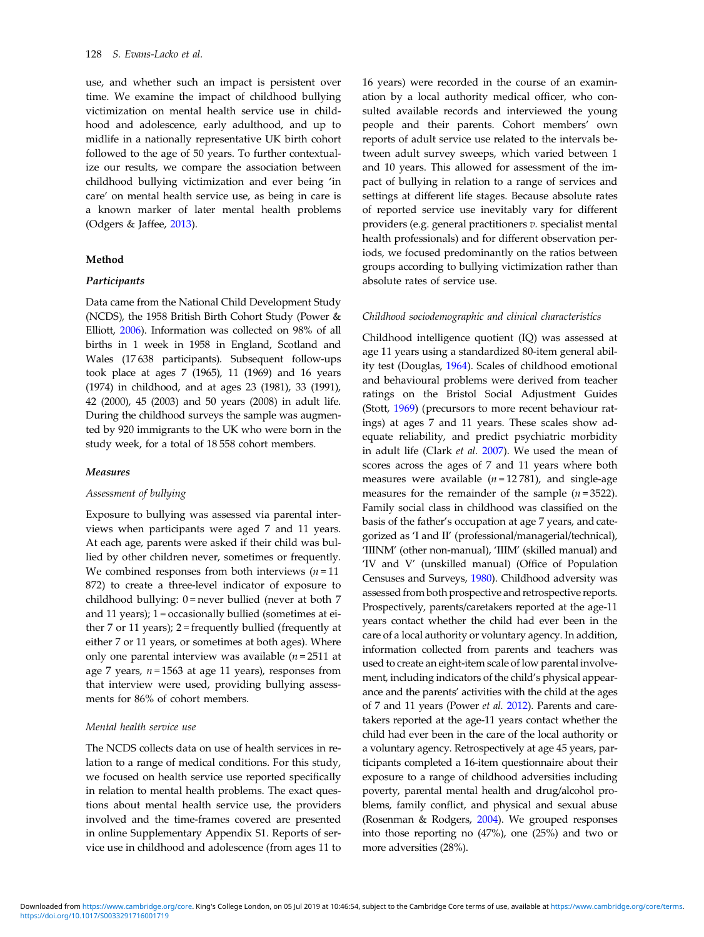use, and whether such an impact is persistent over time. We examine the impact of childhood bullying victimization on mental health service use in childhood and adolescence, early adulthood, and up to midlife in a nationally representative UK birth cohort followed to the age of 50 years. To further contextualize our results, we compare the association between childhood bullying victimization and ever being 'in care' on mental health service use, as being in care is a known marker of later mental health problems (Odgers & Jaffee, [2013](#page-8-0)).

# Method

## **Participants**

Data came from the National Child Development Study (NCDS), the 1958 British Birth Cohort Study (Power & Elliott, [2006](#page-8-0)). Information was collected on 98% of all births in 1 week in 1958 in England, Scotland and Wales (17 638 participants). Subsequent follow-ups took place at ages 7 (1965), 11 (1969) and 16 years (1974) in childhood, and at ages 23 (1981), 33 (1991), 42 (2000), 45 (2003) and 50 years (2008) in adult life. During the childhood surveys the sample was augmented by 920 immigrants to the UK who were born in the study week, for a total of 18 558 cohort members.

#### Measures

## Assessment of bullying

Exposure to bullying was assessed via parental interviews when participants were aged 7 and 11 years. At each age, parents were asked if their child was bullied by other children never, sometimes or frequently. We combined responses from both interviews  $(n = 11)$ 872) to create a three-level indicator of exposure to childhood bullying:  $0$  = never bullied (never at both  $7$ and 11 years); 1 = occasionally bullied (sometimes at either  $7$  or  $11$  years);  $2$  = frequently bullied (frequently at either 7 or 11 years, or sometimes at both ages). Where only one parental interview was available  $(n = 2511$  at age 7 years,  $n = 1563$  at age 11 years), responses from that interview were used, providing bullying assessments for 86% of cohort members.

#### Mental health service use

The NCDS collects data on use of health services in relation to a range of medical conditions. For this study, we focused on health service use reported specifically in relation to mental health problems. The exact questions about mental health service use, the providers involved and the time-frames covered are presented in online Supplementary Appendix S1. Reports of service use in childhood and adolescence (from ages 11 to

16 years) were recorded in the course of an examination by a local authority medical officer, who consulted available records and interviewed the young people and their parents. Cohort members' own reports of adult service use related to the intervals between adult survey sweeps, which varied between 1 and 10 years. This allowed for assessment of the impact of bullying in relation to a range of services and settings at different life stages. Because absolute rates of reported service use inevitably vary for different providers (e.g. general practitioners v. specialist mental health professionals) and for different observation periods, we focused predominantly on the ratios between groups according to bullying victimization rather than absolute rates of service use.

#### Childhood sociodemographic and clinical characteristics

Childhood intelligence quotient (IQ) was assessed at age 11 years using a standardized 80-item general ability test (Douglas, [1964](#page-7-0)). Scales of childhood emotional and behavioural problems were derived from teacher ratings on the Bristol Social Adjustment Guides (Stott, [1969](#page-8-0)) (precursors to more recent behaviour ratings) at ages 7 and 11 years. These scales show adequate reliability, and predict psychiatric morbidity in adult life (Clark et al. [2007](#page-7-0)). We used the mean of scores across the ages of 7 and 11 years where both measures were available  $(n = 12781)$ , and single-age measures for the remainder of the sample  $(n=3522)$ . Family social class in childhood was classified on the basis of the father's occupation at age 7 years, and categorized as 'I and II' (professional/managerial/technical), 'IIINM' (other non-manual), 'IIIM' (skilled manual) and 'IV and V' (unskilled manual) (Office of Population Censuses and Surveys, [1980](#page-8-0)). Childhood adversity was assessed from both prospective and retrospective reports. Prospectively, parents/caretakers reported at the age-11 years contact whether the child had ever been in the care of a local authority or voluntary agency. In addition, information collected from parents and teachers was used to create an eight-item scale of low parental involvement, including indicators of the child's physical appearance and the parents' activities with the child at the ages of 7 and 11 years (Power et al. [2012\)](#page-8-0). Parents and caretakers reported at the age-11 years contact whether the child had ever been in the care of the local authority or a voluntary agency. Retrospectively at age 45 years, participants completed a 16-item questionnaire about their exposure to a range of childhood adversities including poverty, parental mental health and drug/alcohol problems, family conflict, and physical and sexual abuse (Rosenman & Rodgers, [2004](#page-8-0)). We grouped responses into those reporting no (47%), one (25%) and two or more adversities (28%).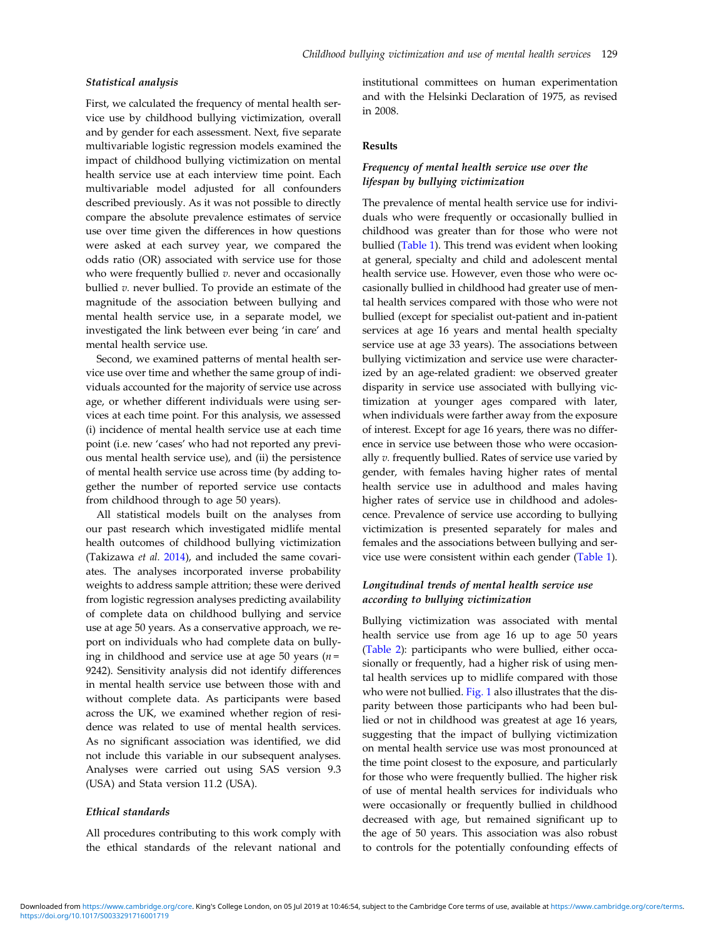## Statistical analysis

First, we calculated the frequency of mental health service use by childhood bullying victimization, overall and by gender for each assessment. Next, five separate multivariable logistic regression models examined the impact of childhood bullying victimization on mental health service use at each interview time point. Each multivariable model adjusted for all confounders described previously. As it was not possible to directly compare the absolute prevalence estimates of service use over time given the differences in how questions were asked at each survey year, we compared the odds ratio (OR) associated with service use for those who were frequently bullied  $v$ . never and occasionally bullied  $v$ . never bullied. To provide an estimate of the magnitude of the association between bullying and mental health service use, in a separate model, we investigated the link between ever being 'in care' and mental health service use.

Second, we examined patterns of mental health service use over time and whether the same group of individuals accounted for the majority of service use across age, or whether different individuals were using services at each time point. For this analysis, we assessed (i) incidence of mental health service use at each time point (i.e. new 'cases' who had not reported any previous mental health service use), and (ii) the persistence of mental health service use across time (by adding together the number of reported service use contacts from childhood through to age 50 years).

All statistical models built on the analyses from our past research which investigated midlife mental health outcomes of childhood bullying victimization (Takizawa et al. [2014\)](#page-8-0), and included the same covariates. The analyses incorporated inverse probability weights to address sample attrition; these were derived from logistic regression analyses predicting availability of complete data on childhood bullying and service use at age 50 years. As a conservative approach, we report on individuals who had complete data on bullying in childhood and service use at age 50 years ( $n =$ 9242). Sensitivity analysis did not identify differences in mental health service use between those with and without complete data. As participants were based across the UK, we examined whether region of residence was related to use of mental health services. As no significant association was identified, we did not include this variable in our subsequent analyses. Analyses were carried out using SAS version 9.3 (USA) and Stata version 11.2 (USA).

# Ethical standards

All procedures contributing to this work comply with the ethical standards of the relevant national and

institutional committees on human experimentation and with the Helsinki Declaration of 1975, as revised in 2008.

#### Results

# Frequency of mental health service use over the lifespan by bullying victimization

The prevalence of mental health service use for individuals who were frequently or occasionally bullied in childhood was greater than for those who were not bullied ([Table 1\)](#page-3-0). This trend was evident when looking at general, specialty and child and adolescent mental health service use. However, even those who were occasionally bullied in childhood had greater use of mental health services compared with those who were not bullied (except for specialist out-patient and in-patient services at age 16 years and mental health specialty service use at age 33 years). The associations between bullying victimization and service use were characterized by an age-related gradient: we observed greater disparity in service use associated with bullying victimization at younger ages compared with later, when individuals were farther away from the exposure of interest. Except for age 16 years, there was no difference in service use between those who were occasionally v. frequently bullied. Rates of service use varied by gender, with females having higher rates of mental health service use in adulthood and males having higher rates of service use in childhood and adolescence. Prevalence of service use according to bullying victimization is presented separately for males and females and the associations between bullying and service use were consistent within each gender [\(Table 1](#page-3-0)).

# Longitudinal trends of mental health service use according to bullying victimization

Bullying victimization was associated with mental health service use from age 16 up to age 50 years ([Table 2](#page-4-0)): participants who were bullied, either occasionally or frequently, had a higher risk of using mental health services up to midlife compared with those who were not bullied. [Fig. 1](#page-4-0) also illustrates that the disparity between those participants who had been bullied or not in childhood was greatest at age 16 years, suggesting that the impact of bullying victimization on mental health service use was most pronounced at the time point closest to the exposure, and particularly for those who were frequently bullied. The higher risk of use of mental health services for individuals who were occasionally or frequently bullied in childhood decreased with age, but remained significant up to the age of 50 years. This association was also robust to controls for the potentially confounding effects of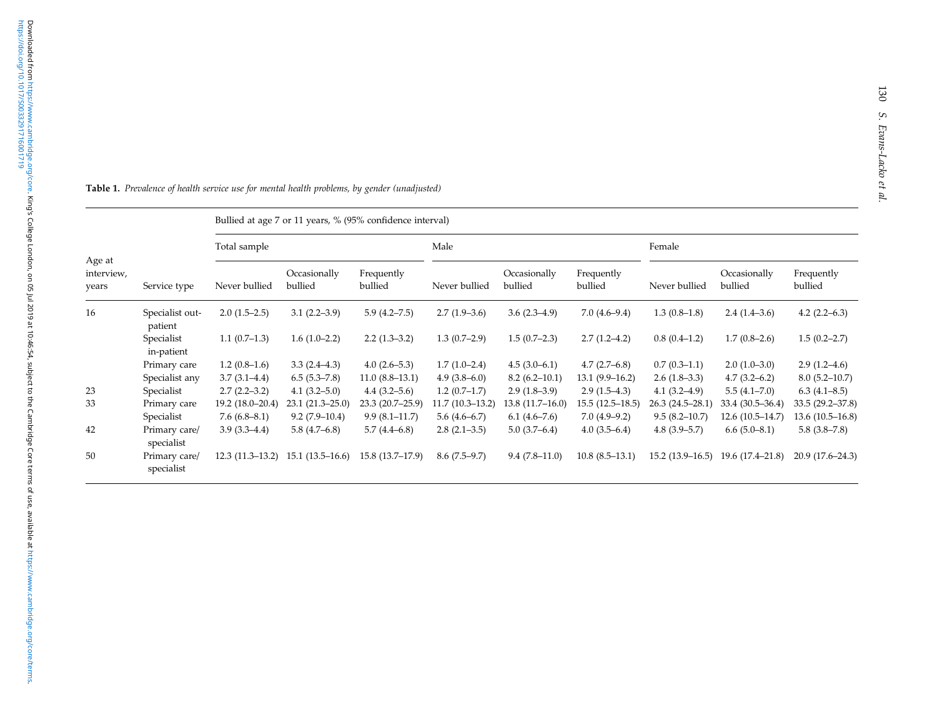|                               |                             |                   |                         | Bullied at age 7 or 11 years, % (95% confidence interval) |                   |                         |                       |                   |                         |                       |
|-------------------------------|-----------------------------|-------------------|-------------------------|-----------------------------------------------------------|-------------------|-------------------------|-----------------------|-------------------|-------------------------|-----------------------|
|                               |                             | Total sample      |                         |                                                           | Male              |                         |                       | Female            |                         |                       |
| Age at<br>interview,<br>years | Service type                | Never bullied     | Occasionally<br>bullied | Frequently<br>bullied                                     | Never bullied     | Occasionally<br>bullied | Frequently<br>bullied | Never bullied     | Occasionally<br>bullied | Frequently<br>bullied |
| 16                            | Specialist out-<br>patient  | $2.0(1.5-2.5)$    | $3.1(2.2 - 3.9)$        | $5.9(4.2 - 7.5)$                                          | $2.7(1.9-3.6)$    | $3.6(2.3-4.9)$          | $7.0(4.6-9.4)$        | $1.3(0.8-1.8)$    | $2.4(1.4-3.6)$          | $4.2(2.2-6.3)$        |
|                               | Specialist<br>in-patient    | $1.1(0.7-1.3)$    | $1.6(1.0-2.2)$          | $2.2(1.3-3.2)$                                            | $1.3(0.7-2.9)$    | $1.5(0.7-2.3)$          | $2.7(1.2 - 4.2)$      | $0.8(0.4-1.2)$    | $1.7(0.8-2.6)$          | $1.5(0.2 - 2.7)$      |
|                               | Primary care                | $1.2(0.8-1.6)$    | $3.3(2.4-4.3)$          | $4.0(2.6-5.3)$                                            | $1.7(1.0-2.4)$    | $4.5(3.0-6.1)$          | $4.7(2.7-6.8)$        | $0.7(0.3-1.1)$    | $2.0(1.0-3.0)$          | $2.9(1.2-4.6)$        |
|                               | Specialist any              | $3.7(3.1-4.4)$    | $6.5(5.3 - 7.8)$        | $11.0(8.8-13.1)$                                          | $4.9(3.8-6.0)$    | $8.2(6.2-10.1)$         | $13.1(9.9-16.2)$      | $2.6(1.8-3.3)$    | $4.7(3.2 - 6.2)$        | $8.0(5.2 - 10.7)$     |
| 23                            | Specialist                  | $2.7(2.2-3.2)$    | $4.1(3.2 - 5.0)$        | $4.4(3.2 - 5.6)$                                          | $1.2(0.7-1.7)$    | $2.9(1.8-3.9)$          | $2.9(1.5-4.3)$        | $4.1(3.2 - 4.9)$  | $5.5(4.1-7.0)$          | $6.3(4.1 - 8.5)$      |
| 33                            | Primary care                | 19.2 (18.0–20.4)  | $23.1(21.3 - 25.0)$     | 23.3 (20.7-25.9)                                          | $11.7(10.3-13.2)$ | $13.8(11.7-16.0)$       | $15.5(12.5-18.5)$     | $26.3(24.5-28.1)$ | 33.4 (30.5–36.4)        | $33.5(29.2 - 37.8)$   |
|                               | Specialist                  | 7.6(6.8–8.1)      | $9.2(7.9-10.4)$         | $9.9(8.1-11.7)$                                           | $5.6(4.6-6.7)$    | $6.1(4.6-7.6)$          | $7.0(4.9-9.2)$        | $9.5(8.2 - 10.7)$ | 12.6 (10.5-14.7)        | $13.6(10.5-16.8)$     |
| 42                            | Primary care/<br>specialist | $3.9(3.3-4.4)$    | $5.8(4.7-6.8)$          | $5.7(4.4-6.8)$                                            | $2.8(2.1-3.5)$    | $5.0(3.7-6.4)$          | $4.0(3.5-6.4)$        | $4.8(3.9-5.7)$    | $6.6(5.0-8.1)$          | $5.8(3.8-7.8)$        |
| 50                            | Primary care/<br>specialist | $12.3(11.3-13.2)$ | $15.1(13.5-16.6)$       | $15.8(13.7-17.9)$                                         | $8.6(7.5-9.7)$    | $9.4(7.8-11.0)$         | $10.8(8.5-13.1)$      | $15.2(13.9-16.5)$ | 19.6 (17.4–21.8)        | $20.9(17.6-24.3)$     |

<span id="page-3-0"></span>**Table 1.** Prevalence of health service use for mental health problems, by gender (unadjusted)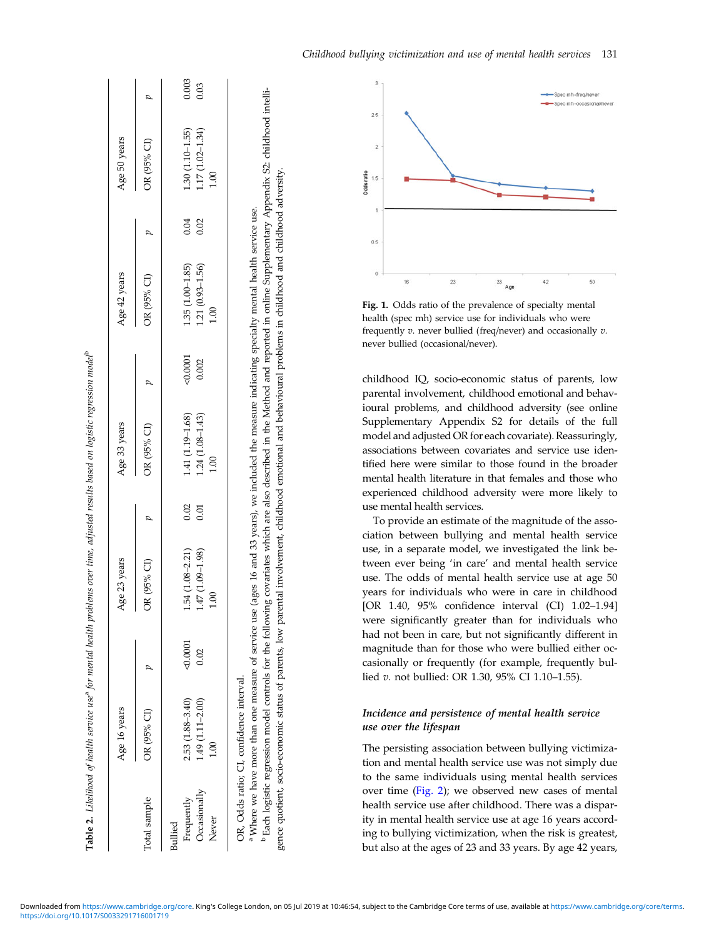<span id="page-4-0"></span>

|              | Age 16 years                                                    |        | Age 23 years        |      | Age 33 years                                                                                    |        | Age 42 years      |      | Age 50 years      |       |
|--------------|-----------------------------------------------------------------|--------|---------------------|------|-------------------------------------------------------------------------------------------------|--------|-------------------|------|-------------------|-------|
| Total sample | OR (95% CI)                                                     |        | R (95% CI)          |      | OR (95% CI)                                                                                     |        | OR (95% CI)       |      | OR (95% CI)       |       |
| Bullied      |                                                                 |        |                     |      |                                                                                                 |        |                   |      |                   |       |
| Frequently   | $2.53(1.88 - 3.40)$                                             | 0.0001 | $1.54(1.08 - 2.21)$ | 0.02 | 1.41 (1.19-1.68)                                                                                | 0.0001 | $1.35(1.00-1.85)$ | 0.04 | $1.30(1.10-1.55)$ | 0.003 |
| Occasionally | $1.49(1.11 - 2.00)$                                             | 0.02   | 1.47 (1.09-1.98)    | 0.01 | 1.24 (1.08-1.43)                                                                                | 0.002  | 1.21 (0.93-1.56)  | 0.02 | 1.17 (1.02-1.34)  | 0.03  |
| Never        | 8.i                                                             |        | S                   |      | 1.00                                                                                            |        | 1.00              |      | 1.00              |       |
|              |                                                                 |        |                     |      |                                                                                                 |        |                   |      |                   |       |
|              | OR, Odds ratio; CI, confidence interval.                        |        |                     |      |                                                                                                 |        |                   |      |                   |       |
|              | <sup>a</sup> Where we have more than one measure of service use |        |                     |      | (ages 16 and 33 years), we included the measure indicating specialty mental health service use. |        |                   |      |                   |       |
|              |                                                                 |        |                     |      |                                                                                                 |        |                   |      |                   |       |

**Table 2.** Likelihood of health service use<sup>s</sup> for mental health problems over time, adjusted results based on logistic regression model<sup>b</sup>

Likelihood of health service use<sup>s</sup> for mental health problems over time, adjusted results based on logistic regression model<sup>b</sup>

<sup>b</sup> Each logistic regression model controls for the following covariates which are also described in the Method and reported in online Supplementary Appendix S2: childhood intellib Each logistic regression model controls for the following covariates which are also described in the Method and reported in online Supplementary Appendix S2: childhood intelligence quotient, socio-economic status of parents, low parental involvement, childhood emotional and behavioural problems in childhood and childhood adversity. parental involvement, childhood emotional and behavioural problems in childhood and childhood adversity. gence quotient, socio-economic status of parents, low



Fig. 1. Odds ratio of the prevalence of specialty mental health (spec mh) service use for individuals who were frequently  $v$ . never bullied (freq/never) and occasionally  $v$ . never bullied (occasional/never).

childhood IQ, socio-economic status of parents, low parental involvement, childhood emotional and behavioural problems, and childhood adversity (see online Supplementary Appendix S2 for details of the full model and adjusted OR for each covariate). Reassuringly, associations between covariates and service use identified here were similar to those found in the broader mental health literature in that females and those who experienced childhood adversity were more likely to use mental health services.

To provide an estimate of the magnitude of the association between bullying and mental health service use, in a separate model, we investigated the link between ever being 'in care' and mental health service use. The odds of mental health service use at age 50 years for individuals who were in care in childhood [OR 1.40, 95% confidence interval (CI) 1.02–1.94] were significantly greater than for individuals who had not been in care, but not significantly different in magnitude than for those who were bullied either occasionally or frequently (for example, frequently bullied v. not bullied: OR 1.30, 95% CI 1.10–1.55).

# Incidence and persistence of mental health service use over the lifespan

The persisting association between bullying victimization and mental health service use was not simply due to the same individuals using mental health services over time [\(Fig. 2](#page-5-0)); we observed new cases of mental health service use after childhood. There was a disparity in mental health service use at age 16 years according to bullying victimization, when the risk is greatest, but also at the ages of 23 and 33 years. By age 42 years,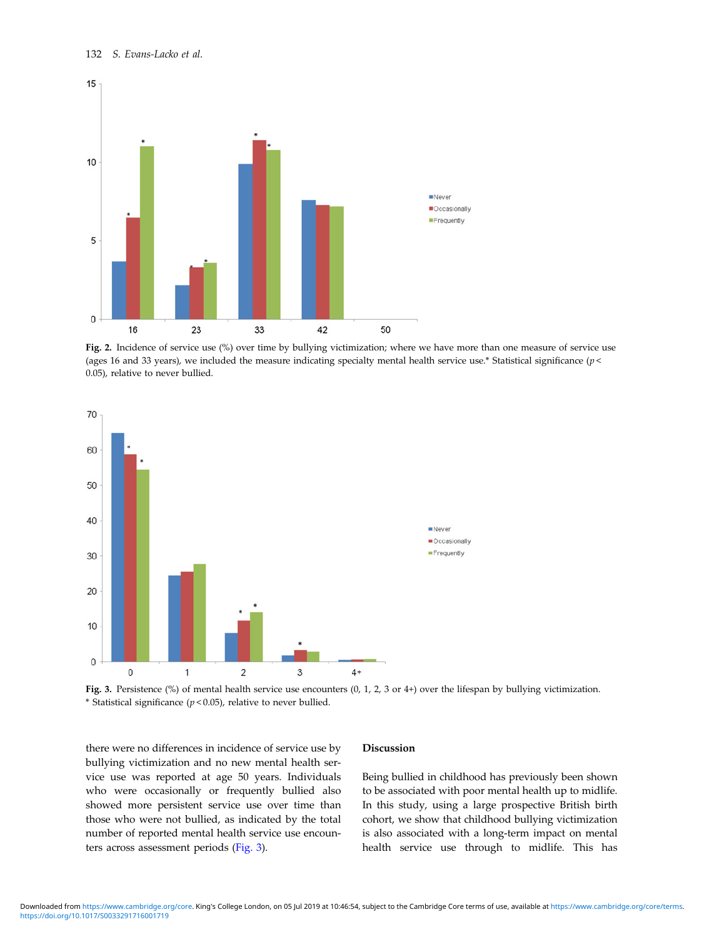<span id="page-5-0"></span>

Fig. 2. Incidence of service use (%) over time by bullying victimization; where we have more than one measure of service use (ages 16 and 33 years), we included the measure indicating specialty mental health service use.\* Statistical significance ( $p$  < 0.05), relative to never bullied.



Fig. 3. Persistence (%) of mental health service use encounters (0, 1, 2, 3 or 4+) over the lifespan by bullying victimization. \* Statistical significance ( $p$  < 0.05), relative to never bullied.

there were no differences in incidence of service use by bullying victimization and no new mental health service use was reported at age 50 years. Individuals who were occasionally or frequently bullied also showed more persistent service use over time than those who were not bullied, as indicated by the total number of reported mental health service use encounters across assessment periods (Fig. 3).

#### Discussion

Being bullied in childhood has previously been shown to be associated with poor mental health up to midlife. In this study, using a large prospective British birth cohort, we show that childhood bullying victimization is also associated with a long-term impact on mental health service use through to midlife. This has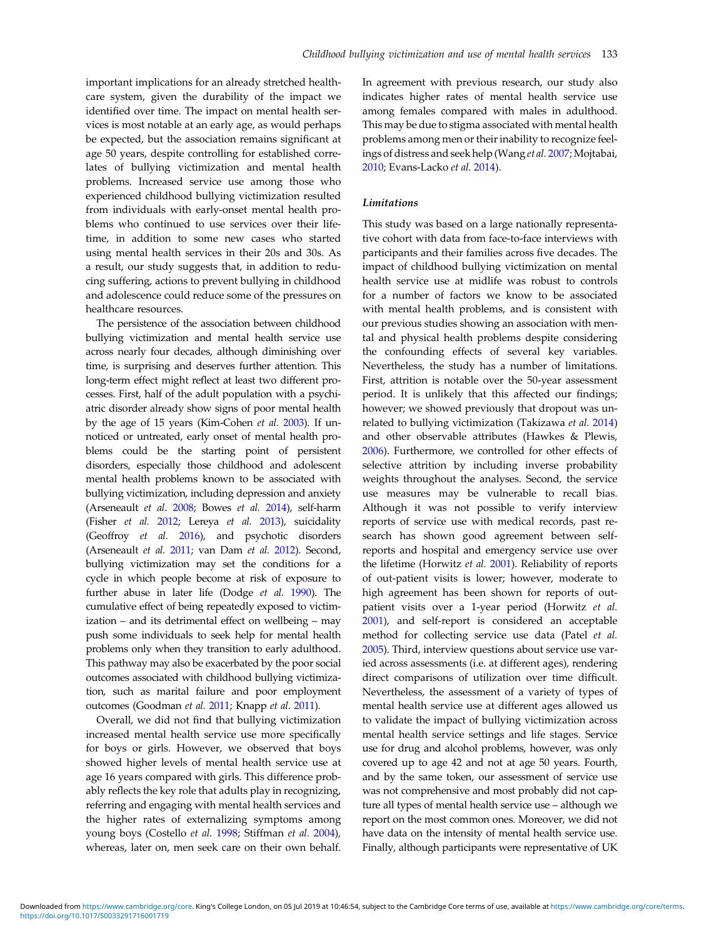important implications for an already stretched healthcare system, given the durability of the impact we identified over time. The impact on mental health services is most notable at an early age, as would perhaps be expected, but the association remains significant at age 50 years, despite controlling for established correlates of bullying victimization and mental health problems. Increased service use among those who experienced childhood bullying victimization resulted from individuals with early-onset mental health problems who continued to use services over their lifetime, in addition to some new cases who started using mental health services in their 20s and 30s. As a result, our study suggests that, in addition to reducing suffering, actions to prevent bullying in childhood and adolescence could reduce some of the pressures on healthcare resources.

The persistence of the association between childhood bullying victimization and mental health service use across nearly four decades, although diminishing over time, is surprising and deserves further attention. This long-term effect might reflect at least two different processes. First, half of the adult population with a psychiatric disorder already show signs of poor mental health by the age of 15 years (Kim-Cohen et al. [2003](#page-8-0)). If unnoticed or untreated, early onset of mental health problems could be the starting point of persistent disorders, especially those childhood and adolescent mental health problems known to be associated with bullying victimization, including depression and anxiety (Arseneault et al. [2008;](#page-7-0) Bowes et al. [2014\)](#page-7-0), self-harm (Fisher et al. [2012;](#page-7-0) Lereya et al. [2013](#page-8-0)), suicidality (Geoffroy et al. [2016](#page-7-0)), and psychotic disorders (Arseneault et al. [2011;](#page-7-0) van Dam et al. [2012\)](#page-8-0). Second, bullying victimization may set the conditions for a cycle in which people become at risk of exposure to further abuse in later life (Dodge et al. [1990](#page-7-0)). The cumulative effect of being repeatedly exposed to victimization – and its detrimental effect on wellbeing – may push some individuals to seek help for mental health problems only when they transition to early adulthood. This pathway may also be exacerbated by the poor social outcomes associated with childhood bullying victimization, such as marital failure and poor employment outcomes (Goodman et al. [2011](#page-8-0); Knapp et al. [2011](#page-8-0)).

Overall, we did not find that bullying victimization increased mental health service use more specifically for boys or girls. However, we observed that boys showed higher levels of mental health service use at age 16 years compared with girls. This difference probably reflects the key role that adults play in recognizing, referring and engaging with mental health services and the higher rates of externalizing symptoms among young boys (Costello et al. [1998](#page-7-0); Stiffman et al. [2004](#page-8-0)), whereas, later on, men seek care on their own behalf.

In agreement with previous research, our study also indicates higher rates of mental health service use among females compared with males in adulthood. This may be due to stigma associated with mental health problems among men or their inability to recognize feel-ings of distress and seek help (Wang et al. [2007](#page-8-0); Mojtabai, [2010;](#page-8-0) Evans-Lacko et al. [2014](#page-7-0)).

# Limitations

This study was based on a large nationally representative cohort with data from face-to-face interviews with participants and their families across five decades. The impact of childhood bullying victimization on mental health service use at midlife was robust to controls for a number of factors we know to be associated with mental health problems, and is consistent with our previous studies showing an association with mental and physical health problems despite considering the confounding effects of several key variables. Nevertheless, the study has a number of limitations. First, attrition is notable over the 50-year assessment period. It is unlikely that this affected our findings; however; we showed previously that dropout was unrelated to bullying victimization (Takizawa et al. [2014\)](#page-8-0) and other observable attributes (Hawkes & Plewis, [2006\)](#page-8-0). Furthermore, we controlled for other effects of selective attrition by including inverse probability weights throughout the analyses. Second, the service use measures may be vulnerable to recall bias. Although it was not possible to verify interview reports of service use with medical records, past research has shown good agreement between selfreports and hospital and emergency service use over the lifetime (Horwitz et al. [2001\)](#page-8-0). Reliability of reports of out-patient visits is lower; however, moderate to high agreement has been shown for reports of outpatient visits over a 1-year period (Horwitz et al. [2001\)](#page-8-0), and self-report is considered an acceptable method for collecting service use data (Patel et al. [2005\)](#page-8-0). Third, interview questions about service use varied across assessments (i.e. at different ages), rendering direct comparisons of utilization over time difficult. Nevertheless, the assessment of a variety of types of mental health service use at different ages allowed us to validate the impact of bullying victimization across mental health service settings and life stages. Service use for drug and alcohol problems, however, was only covered up to age 42 and not at age 50 years. Fourth, and by the same token, our assessment of service use was not comprehensive and most probably did not capture all types of mental health service use – although we report on the most common ones. Moreover, we did not have data on the intensity of mental health service use. Finally, although participants were representative of UK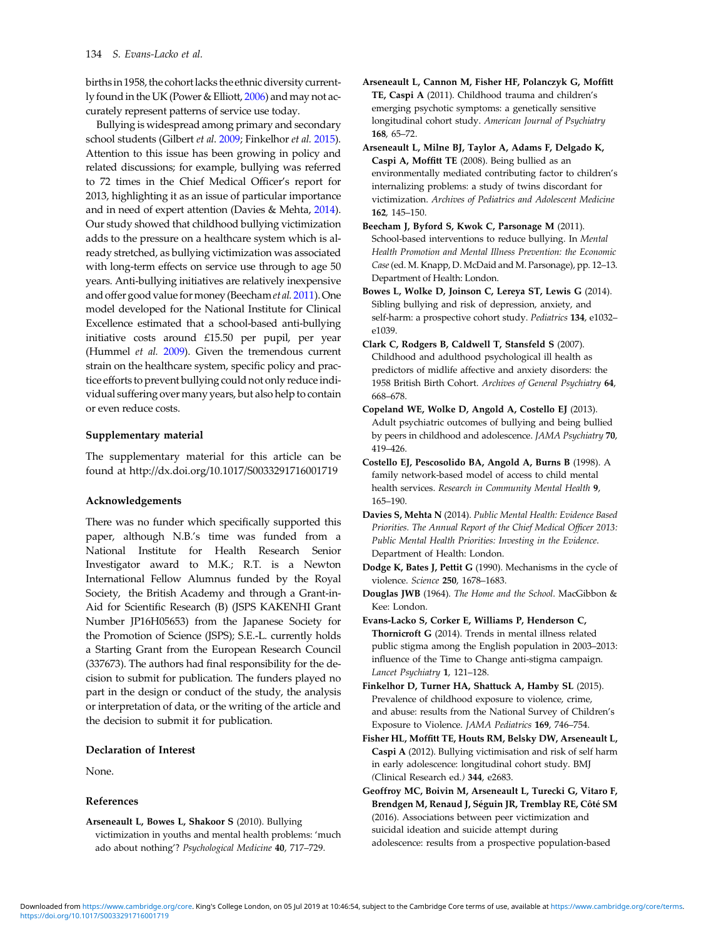<span id="page-7-0"></span>birthsin 1958, the cohort lacks the ethnic diversity currently found in the UK (Power & Elliott, [2006](#page-8-0)) and may not accurately represent patterns of service use today.

Bullying is widespread among primary and secondary school students (Gilbert et al. [2009](#page-8-0); Finkelhor et al. 2015). Attention to this issue has been growing in policy and related discussions; for example, bullying was referred to 72 times in the Chief Medical Officer's report for 2013, highlighting it as an issue of particular importance and in need of expert attention (Davies & Mehta, 2014). Our study showed that childhood bullying victimization adds to the pressure on a healthcare system which is already stretched, as bullying victimization was associated with long-term effects on service use through to age 50 years. Anti-bullying initiatives are relatively inexpensive and offer good value formoney (Beechamet al. 2011). One model developed for the National Institute for Clinical Excellence estimated that a school-based anti-bullying initiative costs around £15.50 per pupil, per year (Hummel et al. [2009](#page-8-0)). Given the tremendous current strain on the healthcare system, specific policy and practice efforts to prevent bullying could not only reduce individual suffering over many years, but also help to contain or even reduce costs.

## Supplementary material

The supplementary material for this article can be found at http://dx.doi.org/10.1017/S0033291716001719

## Acknowledgements

There was no funder which specifically supported this paper, although N.B.'s time was funded from a National Institute for Health Research Senior Investigator award to M.K.; R.T. is a Newton International Fellow Alumnus funded by the Royal Society, the British Academy and through a Grant-in-Aid for Scientific Research (B) (JSPS KAKENHI Grant Number JP16H05653) from the Japanese Society for the Promotion of Science (JSPS); S.E.-L. currently holds a Starting Grant from the European Research Council (337673). The authors had final responsibility for the decision to submit for publication. The funders played no part in the design or conduct of the study, the analysis or interpretation of data, or the writing of the article and the decision to submit it for publication.

# Declaration of Interest

None.

#### References

Arseneault L, Bowes L, Shakoor S (2010). Bullying victimization in youths and mental health problems: 'much ado about nothing'? Psychological Medicine 40, 717–729.

- Arseneault L, Cannon M, Fisher HF, Polanczyk G, Moffitt TE, Caspi A (2011). Childhood trauma and children's emerging psychotic symptoms: a genetically sensitive longitudinal cohort study. American Journal of Psychiatry 168, 65–72.
- Arseneault L, Milne BJ, Taylor A, Adams F, Delgado K, Caspi A, Moffitt TE (2008). Being bullied as an environmentally mediated contributing factor to children's internalizing problems: a study of twins discordant for victimization. Archives of Pediatrics and Adolescent Medicine 162, 145–150.
- Beecham J, Byford S, Kwok C, Parsonage M (2011). School-based interventions to reduce bullying. In Mental Health Promotion and Mental Illness Prevention: the Economic Case(ed. M. Knapp, D. McDaid and M. Parsonage), pp. 12–13. Department of Health: London.
- Bowes L, Wolke D, Joinson C, Lereya ST, Lewis G (2014). Sibling bullying and risk of depression, anxiety, and self-harm: a prospective cohort study. Pediatrics 134, e1032e1039.
- Clark C, Rodgers B, Caldwell T, Stansfeld S (2007). Childhood and adulthood psychological ill health as predictors of midlife affective and anxiety disorders: the 1958 British Birth Cohort. Archives of General Psychiatry 64, 668–678.
- Copeland WE, Wolke D, Angold A, Costello EJ (2013). Adult psychiatric outcomes of bullying and being bullied by peers in childhood and adolescence. JAMA Psychiatry 70, 419–426.
- Costello EJ, Pescosolido BA, Angold A, Burns B (1998). A family network-based model of access to child mental health services. Research in Community Mental Health 9, 165–190.
- Davies S, Mehta N (2014). Public Mental Health: Evidence Based Priorities. The Annual Report of the Chief Medical Officer 2013: Public Mental Health Priorities: Investing in the Evidence. Department of Health: London.
- Dodge K, Bates J, Pettit G (1990). Mechanisms in the cycle of violence. Science 250, 1678–1683.
- Douglas JWB (1964). The Home and the School. MacGibbon & Kee: London.
- Evans-Lacko S, Corker E, Williams P, Henderson C, Thornicroft G (2014). Trends in mental illness related public stigma among the English population in 2003–2013: influence of the Time to Change anti-stigma campaign. Lancet Psychiatry 1, 121–128.
- Finkelhor D, Turner HA, Shattuck A, Hamby SL (2015). Prevalence of childhood exposure to violence, crime, and abuse: results from the National Survey of Children's Exposure to Violence. JAMA Pediatrics 169, 746–754.
- Fisher HL, Moffitt TE, Houts RM, Belsky DW, Arseneault L, Caspi A (2012). Bullying victimisation and risk of self harm in early adolescence: longitudinal cohort study. BMJ (Clinical Research ed.) 344, e2683.
- Geoffroy MC, Boivin M, Arseneault L, Turecki G, Vitaro F, Brendgen M, Renaud J, Séguin JR, Tremblay RE, Côté SM (2016). Associations between peer victimization and suicidal ideation and suicide attempt during adolescence: results from a prospective population-based